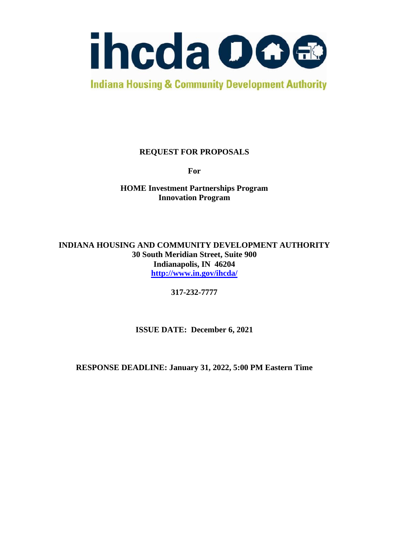

**Indiana Housing & Community Development Authority** 

# **REQUEST FOR PROPOSALS**

**For**

**HOME Investment Partnerships Program Innovation Program**

**INDIANA HOUSING AND COMMUNITY DEVELOPMENT AUTHORITY 30 South Meridian Street, Suite 900 Indianapolis, IN 46204 <http://www.in.gov/ihcda/>**

**317-232-7777**

**ISSUE DATE: December 6, 2021**

**RESPONSE DEADLINE: January 31, 2022, 5:00 PM Eastern Time**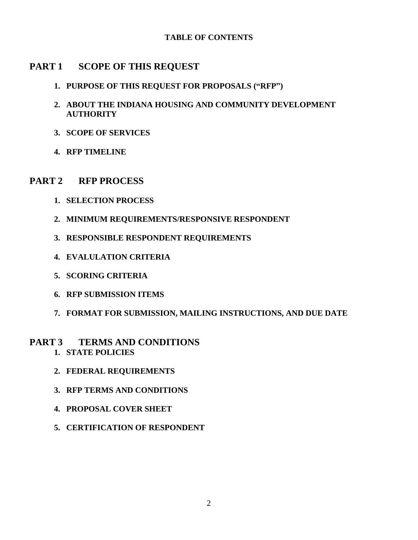### **TABLE OF CONTENTS**

# **PART 1 SCOPE OF THIS REQUEST**

- **1. PURPOSE OF THIS REQUEST FOR PROPOSALS ("RFP")**
- **2. ABOUT THE INDIANA HOUSING AND COMMUNITY DEVELOPMENT AUTHORITY**
- **3. SCOPE OF SERVICES**
- **4. RFP TIMELINE**

# **PART 2 RFP PROCESS**

- **1. SELECTION PROCESS**
- **2. MINIMUM REQUIREMENTS/RESPONSIVE RESPONDENT**
- **3. RESPONSIBLE RESPONDENT REQUIREMENTS**
- **4. EVALULATION CRITERIA**
- **5. SCORING CRITERIA**
- **6. RFP SUBMISSION ITEMS**
- **7. FORMAT FOR SUBMISSION, MAILING INSTRUCTIONS, AND DUE DATE**

### **PART 3 TERMS AND CONDITIONS 1. STATE POLICIES**

- **2. FEDERAL REQUIREMENTS**
- **3. RFP TERMS AND CONDITIONS**
- **4. PROPOSAL COVER SHEET**
- **5. CERTIFICATION OF RESPONDENT**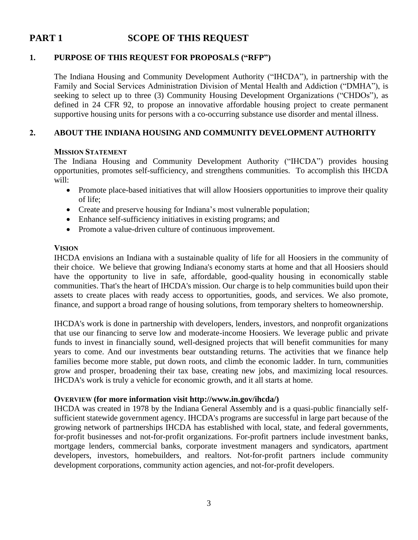# **PART 1 SCOPE OF THIS REQUEST**

### **1. PURPOSE OF THIS REQUEST FOR PROPOSALS ("RFP")**

The Indiana Housing and Community Development Authority ("IHCDA"), in partnership with the Family and Social Services Administration Division of Mental Health and Addiction ("DMHA"), is seeking to select up to three (3) Community Housing Development Organizations ("CHDOs"), as defined in 24 CFR 92, to propose an innovative affordable housing project to create permanent supportive housing units for persons with a co-occurring substance use disorder and mental illness.

### **2. ABOUT THE INDIANA HOUSING AND COMMUNITY DEVELOPMENT AUTHORITY**

#### **MISSION STATEMENT**

The Indiana Housing and Community Development Authority ("IHCDA") provides housing opportunities, promotes self-sufficiency, and strengthens communities. To accomplish this IHCDA will:

- Promote place-based initiatives that will allow Hoosiers opportunities to improve their quality of life;
- Create and preserve housing for Indiana's most vulnerable population;
- Enhance self-sufficiency initiatives in existing programs; and
- Promote a value-driven culture of continuous improvement.

#### **VISION**

IHCDA envisions an Indiana with a sustainable quality of life for all Hoosiers in the community of their choice. We believe that growing Indiana's economy starts at home and that all Hoosiers should have the opportunity to live in safe, affordable, good-quality housing in economically stable communities. That's the heart of IHCDA's mission. Our charge is to help communities build upon their assets to create places with ready access to opportunities, goods, and services. We also promote, finance, and support a broad range of housing solutions, from temporary shelters to homeownership.

IHCDA's work is done in partnership with developers, lenders, investors, and nonprofit organizations that use our financing to serve low and moderate-income Hoosiers. We leverage public and private funds to invest in financially sound, well-designed projects that will benefit communities for many years to come. And our investments bear outstanding returns. The activities that we finance help families become more stable, put down roots, and climb the economic ladder. In turn, communities grow and prosper, broadening their tax base, creating new jobs, and maximizing local resources. IHCDA's work is truly a vehicle for economic growth, and it all starts at home.

#### **OVERVIEW (for more information visit http://www.in.gov/ihcda/)**

IHCDA was created in 1978 by the Indiana General Assembly and is a quasi-public financially selfsufficient statewide government agency. IHCDA's programs are successful in large part because of the growing network of partnerships IHCDA has established with local, state, and federal governments, for-profit businesses and not-for-profit organizations. For-profit partners include investment banks, mortgage lenders, commercial banks, corporate investment managers and syndicators, apartment developers, investors, homebuilders, and realtors. Not-for-profit partners include community development corporations, community action agencies, and not-for-profit developers.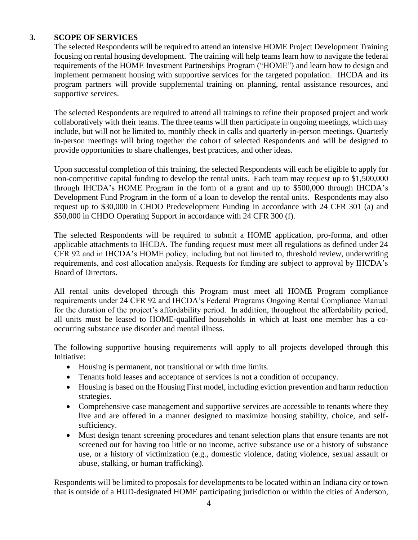## **3. SCOPE OF SERVICES**

The selected Respondents will be required to attend an intensive HOME Project Development Training focusing on rental housing development. The training will help teams learn how to navigate the federal requirements of the HOME Investment Partnerships Program ("HOME") and learn how to design and implement permanent housing with supportive services for the targeted population. IHCDA and its program partners will provide supplemental training on planning, rental assistance resources, and supportive services.

The selected Respondents are required to attend all trainings to refine their proposed project and work collaboratively with their teams. The three teams will then participate in ongoing meetings, which may include, but will not be limited to, monthly check in calls and quarterly in-person meetings. Quarterly in-person meetings will bring together the cohort of selected Respondents and will be designed to provide opportunities to share challenges, best practices, and other ideas.

Upon successful completion of this training, the selected Respondents will each be eligible to apply for non-competitive capital funding to develop the rental units. Each team may request up to \$1,500,000 through IHCDA's HOME Program in the form of a grant and up to \$500,000 through IHCDA's Development Fund Program in the form of a loan to develop the rental units. Respondents may also request up to \$30,000 in CHDO Predevelopment Funding in accordance with 24 CFR 301 (a) and \$50,000 in CHDO Operating Support in accordance with 24 CFR 300 (f).

The selected Respondents will be required to submit a HOME application, pro-forma, and other applicable attachments to IHCDA. The funding request must meet all regulations as defined under 24 CFR 92 and in IHCDA's HOME policy, including but not limited to, threshold review, underwriting requirements, and cost allocation analysis. Requests for funding are subject to approval by IHCDA's Board of Directors.

All rental units developed through this Program must meet all HOME Program compliance requirements under 24 CFR 92 and IHCDA's Federal Programs Ongoing Rental Compliance Manual for the duration of the project's affordability period. In addition, throughout the affordability period, all units must be leased to HOME-qualified households in which at least one member has a cooccurring substance use disorder and mental illness.

The following supportive housing requirements will apply to all projects developed through this Initiative:

- Housing is permanent, not transitional or with time limits.
- Tenants hold leases and acceptance of services is not a condition of occupancy.
- Housing is based on the Housing First model, including eviction prevention and harm reduction strategies.
- Comprehensive case management and supportive services are accessible to tenants where they live and are offered in a manner designed to maximize housing stability, choice, and selfsufficiency.
- Must design tenant screening procedures and tenant selection plans that ensure tenants are not screened out for having too little or no income, active substance use or a history of substance use, or a history of victimization (e.g., domestic violence, dating violence, sexual assault or abuse, stalking, or human trafficking).

Respondents will be limited to proposals for developments to be located within an Indiana city or town that is outside of a HUD-designated HOME participating jurisdiction or within the cities of Anderson,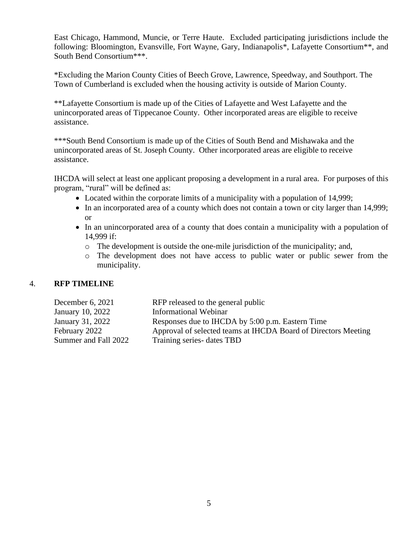East Chicago, Hammond, Muncie, or Terre Haute. Excluded participating jurisdictions include the following: Bloomington, Evansville, Fort Wayne, Gary, Indianapolis\*, Lafayette Consortium\*\*, and South Bend Consortium\*\*\*.

\*Excluding the Marion County Cities of Beech Grove, Lawrence, Speedway, and Southport. The Town of Cumberland is excluded when the housing activity is outside of Marion County.

\*\*Lafayette Consortium is made up of the Cities of Lafayette and West Lafayette and the unincorporated areas of Tippecanoe County. Other incorporated areas are eligible to receive assistance.

\*\*\*South Bend Consortium is made up of the Cities of South Bend and Mishawaka and the unincorporated areas of St. Joseph County. Other incorporated areas are eligible to receive assistance.

IHCDA will select at least one applicant proposing a development in a rural area. For purposes of this program, "rural" will be defined as:

- Located within the corporate limits of a municipality with a population of 14,999;
- In an incorporated area of a county which does not contain a town or city larger than 14,999; or
- In an unincorporated area of a county that does contain a municipality with a population of 14,999 if:
	- o The development is outside the one-mile jurisdiction of the municipality; and,
	- o The development does not have access to public water or public sewer from the municipality.

#### 4. **RFP TIMELINE**

| December 6, $2021$   | RFP released to the general public                             |
|----------------------|----------------------------------------------------------------|
| January 10, 2022     | Informational Webinar                                          |
| January 31, 2022     | Responses due to IHCDA by 5:00 p.m. Eastern Time               |
| February 2022        | Approval of selected teams at IHCDA Board of Directors Meeting |
| Summer and Fall 2022 | Training series-dates TBD                                      |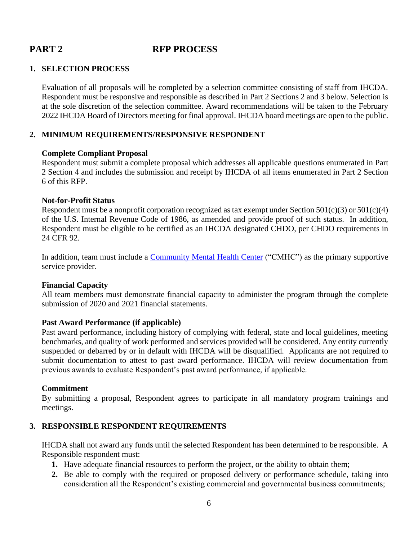# **PART 2 RFP PROCESS**

#### **1. SELECTION PROCESS**

Evaluation of all proposals will be completed by a selection committee consisting of staff from IHCDA. Respondent must be responsive and responsible as described in Part 2 Sections 2 and 3 below. Selection is at the sole discretion of the selection committee. Award recommendations will be taken to the February 2022 IHCDA Board of Directors meeting for final approval. IHCDA board meetings are open to the public.

#### **2. MINIMUM REQUIREMENTS/RESPONSIVE RESPONDENT**

#### **Complete Compliant Proposal**

Respondent must submit a complete proposal which addresses all applicable questions enumerated in Part 2 Section 4 and includes the submission and receipt by IHCDA of all items enumerated in Part 2 Section 6 of this RFP.

#### **Not-for-Profit Status**

Respondent must be a nonprofit corporation recognized as tax exempt under Section 501(c)(3) or 501(c)(4) of the U.S. Internal Revenue Code of 1986, as amended and provide proof of such status. In addition, Respondent must be eligible to be certified as an IHCDA designated CHDO, per CHDO requirements in 24 CFR 92.

In addition, team must include a **Community Mental Health Center** ("CMHC") as the primary supportive service provider.

#### **Financial Capacity**

All team members must demonstrate financial capacity to administer the program through the complete submission of 2020 and 2021 financial statements.

#### **Past Award Performance (if applicable)**

Past award performance, including history of complying with federal, state and local guidelines, meeting benchmarks, and quality of work performed and services provided will be considered. Any entity currently suspended or debarred by or in default with IHCDA will be disqualified. Applicants are not required to submit documentation to attest to past award performance. IHCDA will review documentation from previous awards to evaluate Respondent's past award performance, if applicable.

#### **Commitment**

By submitting a proposal, Respondent agrees to participate in all mandatory program trainings and meetings.

### **3. RESPONSIBLE RESPONDENT REQUIREMENTS**

IHCDA shall not award any funds until the selected Respondent has been determined to be responsible. A Responsible respondent must:

- **1.** Have adequate financial resources to perform the project, or the ability to obtain them;
- **2.** Be able to comply with the required or proposed delivery or performance schedule, taking into consideration all the Respondent's existing commercial and governmental business commitments;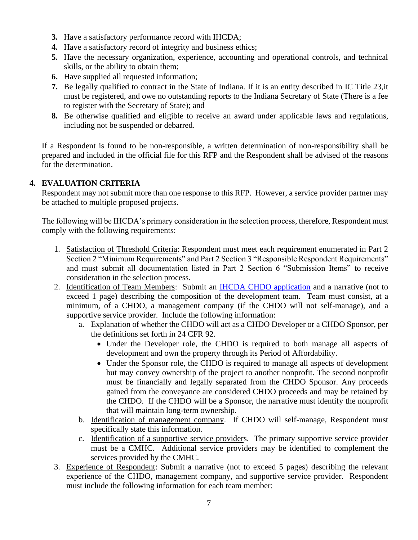- **3.** Have a satisfactory performance record with IHCDA;
- **4.** Have a satisfactory record of integrity and business ethics;
- **5.** Have the necessary organization, experience, accounting and operational controls, and technical skills, or the ability to obtain them;
- **6.** Have supplied all requested information;
- **7.** Be legally qualified to contract in the State of Indiana. If it is an entity described in IC Title 23,it must be registered, and owe no outstanding reports to the Indiana Secretary of State (There is a fee to register with the Secretary of State); and
- **8.** Be otherwise qualified and eligible to receive an award under applicable laws and regulations, including not be suspended or debarred.

If a Respondent is found to be non-responsible, a written determination of non-responsibility shall be prepared and included in the official file for this RFP and the Respondent shall be advised of the reasons for the determination.

## **4. EVALUATION CRITERIA**

Respondent may not submit more than one response to this RFP. However, a service provider partner may be attached to multiple proposed projects.

The following will be IHCDA's primary consideration in the selection process, therefore, Respondent must comply with the following requirements:

- 1. Satisfaction of Threshold Criteria: Respondent must meet each requirement enumerated in Part 2 Section 2 "Minimum Requirements" and Part 2 Section 3 "Responsible Respondent Requirements" and must submit all documentation listed in Part 2 Section 6 "Submission Items" to receive consideration in the selection process.
- 2. Identification of Team Members: Submit an [IHCDA CHDO application](https://www.in.gov/ihcda/developers/community-housing-development-organizations-chdo/) and a narrative (not to exceed 1 page) describing the composition of the development team. Team must consist, at a minimum, of a CHDO, a management company (if the CHDO will not self-manage), and a supportive service provider. Include the following information:
	- a. Explanation of whether the CHDO will act as a CHDO Developer or a CHDO Sponsor, per the definitions set forth in 24 CFR 92.
		- Under the Developer role, the CHDO is required to both manage all aspects of development and own the property through its Period of Affordability.
		- Under the Sponsor role, the CHDO is required to manage all aspects of development but may convey ownership of the project to another nonprofit. The second nonprofit must be financially and legally separated from the CHDO Sponsor. Any proceeds gained from the conveyance are considered CHDO proceeds and may be retained by the CHDO. If the CHDO will be a Sponsor, the narrative must identify the nonprofit that will maintain long-term ownership.
	- b. Identification of management company. If CHDO will self-manage, Respondent must specifically state this information.
	- c. Identification of a supportive service providers. The primary supportive service provider must be a CMHC. Additional service providers may be identified to complement the services provided by the CMHC.
- 3. Experience of Respondent: Submit a narrative (not to exceed 5 pages) describing the relevant experience of the CHDO, management company, and supportive service provider. Respondent must include the following information for each team member: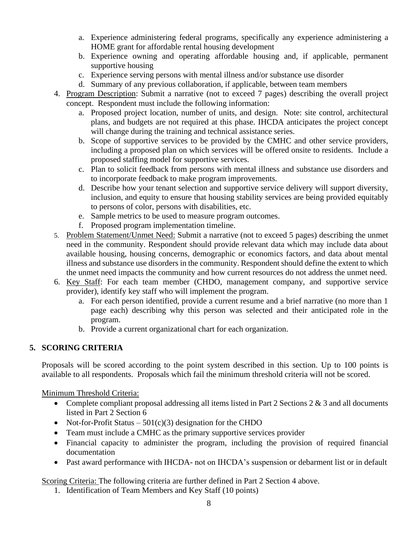- a. Experience administering federal programs, specifically any experience administering a HOME grant for affordable rental housing development
- b. Experience owning and operating affordable housing and, if applicable, permanent supportive housing
- c. Experience serving persons with mental illness and/or substance use disorder
- d. Summary of any previous collaboration, if applicable, between team members
- 4. Program Description: Submit a narrative (not to exceed 7 pages) describing the overall project concept. Respondent must include the following information:
	- a. Proposed project location, number of units, and design. Note: site control, architectural plans, and budgets are not required at this phase. IHCDA anticipates the project concept will change during the training and technical assistance series.
	- b. Scope of supportive services to be provided by the CMHC and other service providers, including a proposed plan on which services will be offered onsite to residents. Include a proposed staffing model for supportive services.
	- c. Plan to solicit feedback from persons with mental illness and substance use disorders and to incorporate feedback to make program improvements.
	- d. Describe how your tenant selection and supportive service delivery will support diversity, inclusion, and equity to ensure that housing stability services are being provided equitably to persons of color, persons with disabilities, etc.
	- e. Sample metrics to be used to measure program outcomes.
	- f. Proposed program implementation timeline.
- 5. Problem Statement/Unmet Need: Submit a narrative (not to exceed 5 pages) describing the unmet need in the community. Respondent should provide relevant data which may include data about available housing, housing concerns, demographic or economics factors, and data about mental illness and substance use disorders in the community. Respondent should define the extent to which the unmet need impacts the community and how current resources do not address the unmet need.
- 6. Key Staff: For each team member (CHDO, management company, and supportive service provider), identify key staff who will implement the program.
	- a. For each person identified, provide a current resume and a brief narrative (no more than 1 page each) describing why this person was selected and their anticipated role in the program.
	- b. Provide a current organizational chart for each organization.

# **5. SCORING CRITERIA**

Proposals will be scored according to the point system described in this section. Up to 100 points is available to all respondents. Proposals which fail the minimum threshold criteria will not be scored.

### Minimum Threshold Criteria:

- Complete compliant proposal addressing all items listed in Part 2 Sections  $2 \& 3$  and all documents listed in Part 2 Section 6
- Not-for-Profit Status  $501(c)(3)$  designation for the CHDO
- Team must include a CMHC as the primary supportive services provider
- Financial capacity to administer the program, including the provision of required financial documentation
- Past award performance with IHCDA- not on IHCDA's suspension or debarment list or in default

Scoring Criteria: The following criteria are further defined in Part 2 Section 4 above.

1. Identification of Team Members and Key Staff (10 points)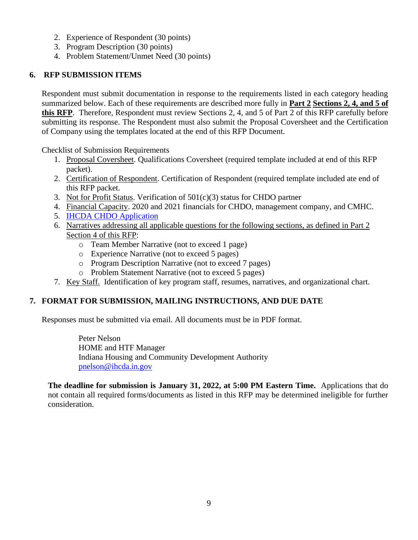- 2. Experience of Respondent (30 points)
- 3. Program Description (30 points)
- 4. Problem Statement/Unmet Need (30 points)

# **6. RFP SUBMISSION ITEMS**

Respondent must submit documentation in response to the requirements listed in each category heading summarized below. Each of these requirements are described more fully in **Part 2 Sections 2, 4, and 5 of this RFP**. Therefore, Respondent must review Sections 2, 4, and 5 of Part 2 of this RFP carefully before submitting its response. The Respondent must also submit the Proposal Coversheet and the Certification of Company using the templates located at the end of this RFP Document.

Checklist of Submission Requirements

- 1. Proposal Coversheet. Qualifications Coversheet (required template included at end of this RFP packet).
- 2. Certification of Respondent. Certification of Respondent (required template included ate end of this RFP packet.
- 3. Not for Profit Status. Verification of 501(c)(3) status for CHDO partner
- 4. Financial Capacity. 2020 and 2021 financials for CHDO, management company, and CMHC.
- 5. [IHCDA CHDO Application](https://www.in.gov/ihcda/developers/community-housing-development-organizations-chdo/)
- 6. Narratives addressing all applicable questions for the following sections, as defined in Part 2 Section 4 of this RFP:
	- o Team Member Narrative (not to exceed 1 page)
	- o Experience Narrative (not to exceed 5 pages)
	- o Program Description Narrative (not to exceed 7 pages)
	- o Problem Statement Narrative (not to exceed 5 pages)
- 7. Key Staff. Identification of key program staff, resumes, narratives, and organizational chart.

# **7. FORMAT FOR SUBMISSION, MAILING INSTRUCTIONS, AND DUE DATE**

Responses must be submitted via email. All documents must be in PDF format.

Peter Nelson HOME and HTF Manager Indiana Housing and Community Development Authority [pnelson@ihcda.in.gov](mailto:pnelson@ihcda.in.gov)

**The deadline for submission is January 31, 2022, at 5:00 PM Eastern Time.** Applications that do not contain all required forms/documents as listed in this RFP may be determined ineligible for further consideration.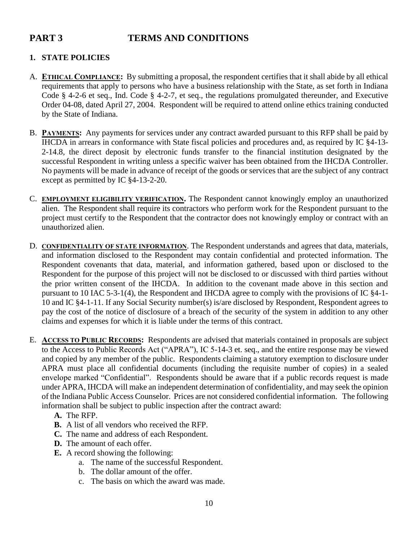# **PART 3 TERMS AND CONDITIONS**

# **1. STATE POLICIES**

- A. **ETHICAL COMPLIANCE:** By submitting a proposal, the respondent certifies that it shall abide by all ethical requirements that apply to persons who have a business relationship with the State, as set forth in Indiana Code § 4-2-6 et seq., Ind. Code § 4-2-7, et seq., the regulations promulgated thereunder, and Executive Order 04-08, dated April 27, 2004. Respondent will be required to attend online ethics training conducted by the State of Indiana.
- B. **PAYMENTS:** Any payments for services under any contract awarded pursuant to this RFP shall be paid by IHCDA in arrears in conformance with State fiscal policies and procedures and, as required by IC §4-13- 2-14.8, the direct deposit by electronic funds transfer to the financial institution designated by the successful Respondent in writing unless a specific waiver has been obtained from the IHCDA Controller. No payments will be made in advance of receipt of the goods or services that are the subject of any contract except as permitted by IC §4-13-2-20.
- C. **EMPLOYMENT ELIGIBILITY VERIFICATION.** The Respondent cannot knowingly employ an unauthorized alien. The Respondent shall require its contractors who perform work for the Respondent pursuant to the project must certify to the Respondent that the contractor does not knowingly employ or contract with an unauthorized alien.
- D. **CONFIDENTIALITY OF STATE INFORMATION**. The Respondent understands and agrees that data, materials, and information disclosed to the Respondent may contain confidential and protected information. The Respondent covenants that data, material, and information gathered, based upon or disclosed to the Respondent for the purpose of this project will not be disclosed to or discussed with third parties without the prior written consent of the IHCDA. In addition to the covenant made above in this section and pursuant to 10 IAC 5-3-1(4), the Respondent and IHCDA agree to comply with the provisions of IC §4-1- 10 and IC §4-1-11. If any Social Security number(s) is/are disclosed by Respondent, Respondent agrees to pay the cost of the notice of disclosure of a breach of the security of the system in addition to any other claims and expenses for which it is liable under the terms of this contract.
- E. **ACCESS TO PUBLIC RECORDS:** Respondents are advised that materials contained in proposals are subject to the Access to Public Records Act ("APRA"), IC 5-14-3 et. seq., and the entire response may be viewed and copied by any member of the public. Respondents claiming a statutory exemption to disclosure under APRA must place all confidential documents (including the requisite number of copies) in a sealed envelope marked "Confidential". Respondents should be aware that if a public records request is made under APRA, IHCDA will make an independent determination of confidentiality, and may seek the opinion of the Indiana Public Access Counselor. Prices are not considered confidential information. The following information shall be subject to public inspection after the contract award:
	- **A.** The RFP.
	- **B.** A list of all vendors who received the RFP.
	- **C.** The name and address of each Respondent.
	- **D.** The amount of each offer.
	- **E.** A record showing the following:
		- a. The name of the successful Respondent.
		- b. The dollar amount of the offer.
		- c. The basis on which the award was made.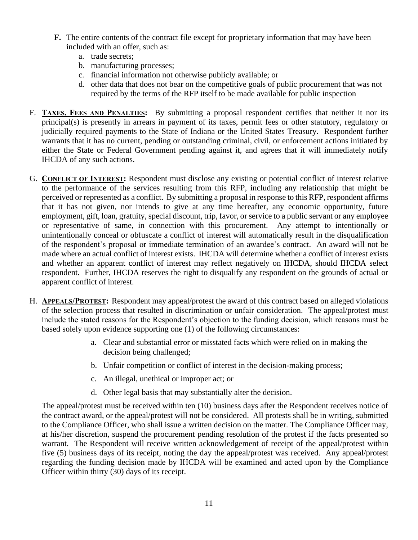- **F.** The entire contents of the contract file except for proprietary information that may have been included with an offer, such as:
	- a. trade secrets;
	- b. manufacturing processes;
	- c. financial information not otherwise publicly available; or
	- d. other data that does not bear on the competitive goals of public procurement that was not required by the terms of the RFP itself to be made available for public inspection
- F. **TAXES, FEES AND PENALTIES:** By submitting a proposal respondent certifies that neither it nor its principal(s) is presently in arrears in payment of its taxes, permit fees or other statutory, regulatory or judicially required payments to the State of Indiana or the United States Treasury. Respondent further warrants that it has no current, pending or outstanding criminal, civil, or enforcement actions initiated by either the State or Federal Government pending against it, and agrees that it will immediately notify IHCDA of any such actions.
- G. **CONFLICT OF INTEREST:** Respondent must disclose any existing or potential conflict of interest relative to the performance of the services resulting from this RFP, including any relationship that might be perceived or represented as a conflict. By submitting a proposal in response to this RFP, respondent affirms that it has not given, nor intends to give at any time hereafter, any economic opportunity, future employment, gift, loan, gratuity, special discount, trip, favor, or service to a public servant or any employee or representative of same, in connection with this procurement. Any attempt to intentionally or unintentionally conceal or obfuscate a conflict of interest will automatically result in the disqualification of the respondent's proposal or immediate termination of an awardee's contract. An award will not be made where an actual conflict of interest exists. IHCDA will determine whether a conflict of interest exists and whether an apparent conflict of interest may reflect negatively on IHCDA, should IHCDA select respondent. Further, IHCDA reserves the right to disqualify any respondent on the grounds of actual or apparent conflict of interest.
- H. **APPEALS/PROTEST:** Respondent may appeal/protest the award of this contract based on alleged violations of the selection process that resulted in discrimination or unfair consideration. The appeal/protest must include the stated reasons for the Respondent's objection to the funding decision, which reasons must be based solely upon evidence supporting one (1) of the following circumstances:
	- a. Clear and substantial error or misstated facts which were relied on in making the decision being challenged;
	- b. Unfair competition or conflict of interest in the decision-making process;
	- c. An illegal, unethical or improper act; or
	- d. Other legal basis that may substantially alter the decision.

The appeal/protest must be received within ten (10) business days after the Respondent receives notice of the contract award, or the appeal/protest will not be considered. All protests shall be in writing, submitted to the Compliance Officer, who shall issue a written decision on the matter. The Compliance Officer may, at his/her discretion, suspend the procurement pending resolution of the protest if the facts presented so warrant. The Respondent will receive written acknowledgement of receipt of the appeal/protest within five (5) business days of its receipt, noting the day the appeal/protest was received. Any appeal/protest regarding the funding decision made by IHCDA will be examined and acted upon by the Compliance Officer within thirty (30) days of its receipt.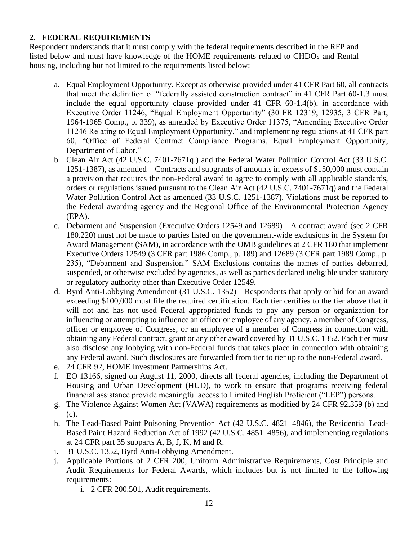## **2. FEDERAL REQUIREMENTS**

Respondent understands that it must comply with the federal requirements described in the RFP and listed below and must have knowledge of the HOME requirements related to CHDOs and Rental housing, including but not limited to the requirements listed below:

- a. Equal Employment Opportunity. Except as otherwise provided under 41 CFR Part 60, all contracts that meet the definition of "federally assisted construction contract" in 41 CFR Part 60-1.3 must include the equal opportunity clause provided under 41 CFR 60-1.4(b), in accordance with Executive Order 11246, "Equal Employment Opportunity" (30 FR 12319, 12935, 3 CFR Part, 1964-1965 Comp., p. 339), as amended by Executive Order 11375, "Amending Executive Order 11246 Relating to Equal Employment Opportunity," and implementing regulations at 41 CFR part 60, "Office of Federal Contract Compliance Programs, Equal Employment Opportunity, Department of Labor."
- b. Clean Air Act (42 U.S.C. 7401-7671q.) and the Federal Water Pollution Control Act (33 U.S.C. 1251-1387), as amended—Contracts and subgrants of amounts in excess of \$150,000 must contain a provision that requires the non-Federal award to agree to comply with all applicable standards, orders or regulations issued pursuant to the Clean Air Act (42 U.S.C. 7401-7671q) and the Federal Water Pollution Control Act as amended (33 U.S.C. 1251-1387). Violations must be reported to the Federal awarding agency and the Regional Office of the Environmental Protection Agency (EPA).
- c. Debarment and Suspension (Executive Orders 12549 and 12689)—A contract award (see 2 CFR 180.220) must not be made to parties listed on the government-wide exclusions in the System for Award Management (SAM), in accordance with the OMB guidelines at 2 CFR 180 that implement Executive Orders 12549 (3 CFR part 1986 Comp., p. 189) and 12689 (3 CFR part 1989 Comp., p. 235), "Debarment and Suspension." SAM Exclusions contains the names of parties debarred, suspended, or otherwise excluded by agencies, as well as parties declared ineligible under statutory or regulatory authority other than Executive Order 12549.
- d. Byrd Anti-Lobbying Amendment (31 U.S.C. 1352)—Respondents that apply or bid for an award exceeding \$100,000 must file the required certification. Each tier certifies to the tier above that it will not and has not used Federal appropriated funds to pay any person or organization for influencing or attempting to influence an officer or employee of any agency, a member of Congress, officer or employee of Congress, or an employee of a member of Congress in connection with obtaining any Federal contract, grant or any other award covered by 31 U.S.C. 1352. Each tier must also disclose any lobbying with non-Federal funds that takes place in connection with obtaining any Federal award. Such disclosures are forwarded from tier to tier up to the non-Federal award.
- e. 24 CFR 92, HOME Investment Partnerships Act.
- f. EO 13166, signed on August 11, 2000, directs all federal agencies, including the Department of Housing and Urban Development (HUD), to work to ensure that programs receiving federal financial assistance provide meaningful access to Limited English Proficient ("LEP") persons.
- g. The Violence Against Women Act (VAWA) requirements as modified by 24 CFR 92.359 (b) and (c).
- h. The Lead-Based Paint Poisoning Prevention Act (42 U.S.C. 4821–4846), the Residential Lead-Based Paint Hazard Reduction Act of 1992 (42 U.S.C. 4851–4856), and implementing regulations at 24 CFR part 35 subparts A, B, J, K, M and R.
- i. 31 U.S.C. 1352, Byrd Anti-Lobbying Amendment.
- j. Applicable Portions of 2 CFR 200, Uniform Administrative Requirements, Cost Principle and Audit Requirements for Federal Awards, which includes but is not limited to the following requirements:
	- i. 2 CFR 200.501, Audit requirements.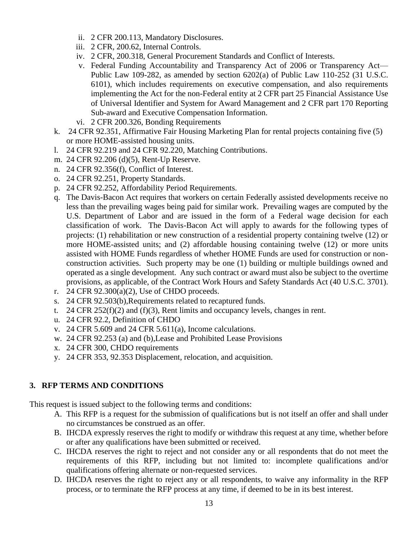- ii. 2 CFR 200.113, Mandatory Disclosures.
- iii. 2 CFR, 200.62, Internal Controls.
- iv. 2 CFR, 200.318, General Procurement Standards and Conflict of Interests.
- v. Federal Funding Accountability and Transparency Act of 2006 or Transparency Act— Public Law 109-282, as amended by section 6202(a) of Public Law 110-252 (31 U.S.C. 6101), which includes requirements on executive compensation, and also requirements implementing the Act for the non-Federal entity at 2 CFR part 25 Financial Assistance Use of Universal Identifier and System for Award Management and 2 CFR part 170 Reporting Sub-award and Executive Compensation Information.
- vi. 2 CFR 200.326, Bonding Requirements
- k. 24 CFR 92.351, Affirmative Fair Housing Marketing Plan for rental projects containing five (5) or more HOME-assisted housing units.
- l. 24 CFR 92.219 and 24 CFR 92.220, Matching Contributions.
- m. 24 CFR 92.206 (d)(5), Rent-Up Reserve.
- n. 24 CFR 92.356(f), Conflict of Interest.
- o. 24 CFR 92.251, Property Standards.
- p. 24 CFR 92.252, Affordability Period Requirements.
- q. The Davis-Bacon Act requires that workers on certain Federally assisted developments receive no less than the prevailing wages being paid for similar work. Prevailing wages are computed by the U.S. Department of Labor and are issued in the form of a Federal wage decision for each classification of work. The Davis-Bacon Act will apply to awards for the following types of projects: (1) rehabilitation or new construction of a residential property containing twelve (12) or more HOME-assisted units; and (2) affordable housing containing twelve (12) or more units assisted with HOME Funds regardless of whether HOME Funds are used for construction or nonconstruction activities. Such property may be one (1) building or multiple buildings owned and operated as a single development. Any such contract or award must also be subject to the overtime provisions, as applicable, of the Contract Work Hours and Safety Standards Act (40 U.S.C. 3701).
- r. 24 CFR 92.300(a)(2), Use of CHDO proceeds.
- s. 24 CFR 92.503(b),Requirements related to recaptured funds.
- t. 24 CFR 252(f)(2) and (f)(3), Rent limits and occupancy levels, changes in rent.
- u. 24 CFR 92.2, Definition of CHDO
- v. 24 CFR 5.609 and 24 CFR 5.611(a), Income calculations.
- w. 24 CFR 92.253 (a) and (b),Lease and Prohibited Lease Provisions
- x. 24 CFR 300, CHDO requirements
- y. 24 CFR 353, 92.353 Displacement, relocation, and acquisition.

# **3. RFP TERMS AND CONDITIONS**

This request is issued subject to the following terms and conditions:

- A. This RFP is a request for the submission of qualifications but is not itself an offer and shall under no circumstances be construed as an offer.
- B. IHCDA expressly reserves the right to modify or withdraw this request at any time, whether before or after any qualifications have been submitted or received.
- C. IHCDA reserves the right to reject and not consider any or all respondents that do not meet the requirements of this RFP, including but not limited to: incomplete qualifications and/or qualifications offering alternate or non-requested services.
- D. IHCDA reserves the right to reject any or all respondents, to waive any informality in the RFP process, or to terminate the RFP process at any time, if deemed to be in its best interest.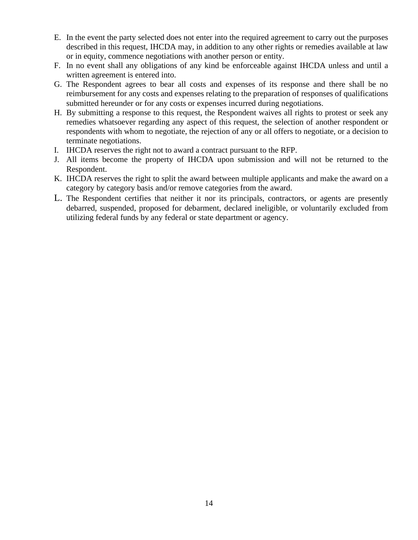- E. In the event the party selected does not enter into the required agreement to carry out the purposes described in this request, IHCDA may, in addition to any other rights or remedies available at law or in equity, commence negotiations with another person or entity.
- F. In no event shall any obligations of any kind be enforceable against IHCDA unless and until a written agreement is entered into.
- G. The Respondent agrees to bear all costs and expenses of its response and there shall be no reimbursement for any costs and expenses relating to the preparation of responses of qualifications submitted hereunder or for any costs or expenses incurred during negotiations.
- H. By submitting a response to this request, the Respondent waives all rights to protest or seek any remedies whatsoever regarding any aspect of this request, the selection of another respondent or respondents with whom to negotiate, the rejection of any or all offers to negotiate, or a decision to terminate negotiations.
- I. IHCDA reserves the right not to award a contract pursuant to the RFP.
- J. All items become the property of IHCDA upon submission and will not be returned to the Respondent.
- K. IHCDA reserves the right to split the award between multiple applicants and make the award on a category by category basis and/or remove categories from the award.
- L. The Respondent certifies that neither it nor its principals, contractors, or agents are presently debarred, suspended, proposed for debarment, declared ineligible, or voluntarily excluded from utilizing federal funds by any federal or state department or agency.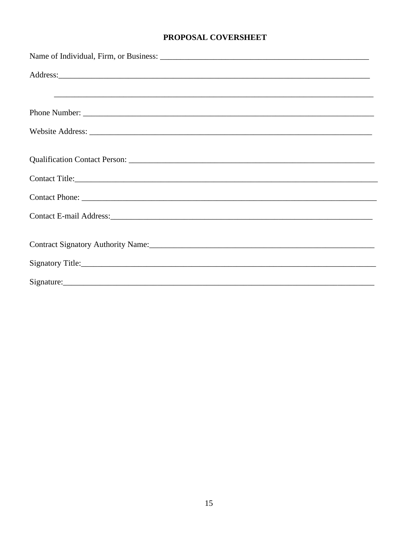## PROPOSAL COVERSHEET

| Contact Title:                                                                                                                                                                                                                 |
|--------------------------------------------------------------------------------------------------------------------------------------------------------------------------------------------------------------------------------|
|                                                                                                                                                                                                                                |
|                                                                                                                                                                                                                                |
| Contract Signatory Authority Name: 1986. [19] Mannese Management Authority Name: 1986. [19] Mannese Management Authority Name: 1986. [19] Mannese Management Authority Name: 1986. [19] Mannese Mannese Mannese Mannese Mannes |
|                                                                                                                                                                                                                                |
|                                                                                                                                                                                                                                |